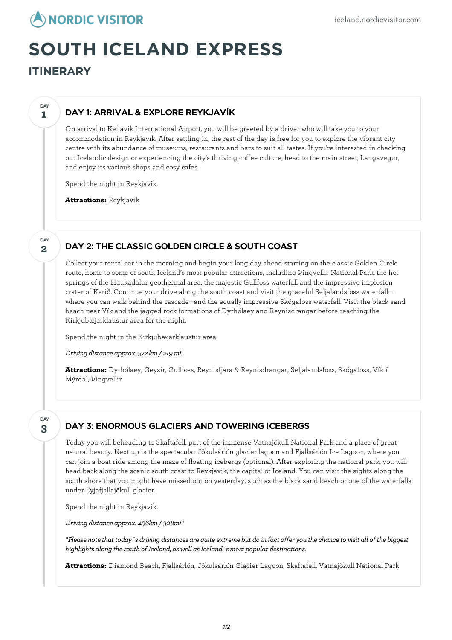

# **SOUTH ICELAND EXPRESS**

**ITINERARY**

**1**

**DAY** 

## DAY 1: ARRIVAL & EXPLORE REYKJAVÍK

On arrival to Keflavik International Airport, you will be greeted by a driver who will take you to your accommodation in Reykjavík. After settling in, the rest of the day is free for you to explore the vibrant city centre with its abundance of museums, restaurants and bars to suit all tastes. If you're interested in checking out Icelandic design or experiencing the city's thriving coffee culture, head to the main street, Laugavegur, and enjoy its various shops and cosy cafes.

Spend the night in Reykjavik.

**Attractions:** Reykjavík

**2 DAY** 

#### DAY 2: THE CLASSIC GOLDEN CIRCLE & SOUTH COAST

Collect your rental car in the morning and begin your long day ahead starting on the classic Golden Circle route, home to some of south Iceland's most popular attractions, including Þingvellir National Park, the hot springs of the Haukadalur geothermal area, the majestic Gullfoss waterfall and the impressive implosion crater of Kerið. Continue your drive along the south coast and visit the graceful Seljalandsfoss waterfall where you can walk behind the cascade—and the equally impressive Skógafoss waterfall. Visit the black sand beach near Vík and the jagged rock formations of Dyrhólaey and Reynisdrangar before reaching the Kirkjubæjarklaustur area for the night.

Spend the night in the Kirkjubæjarklaustur area.

*Driving distance approx. 372 km/ 219mi.*

**Attractions:** Dyrhólaey, Geysir, Gullfoss, Reynisfjara & Reynisdrangar, Seljalandsfoss, Skógafoss, Vík í Mýrdal, Þingvellir

**3** DAY

#### DAY 3: ENORMOUS GLACIERS AND TOWERING ICEBERGS

Today you will beheading to Skaftafell, part of the immense Vatnajökull National Park and a place of great natural beauty. Next up is the spectacular Jökulsárlón glacier lagoon and Fjallsárlón Ice Lagoon, where you can join a boat ride among the maze of floating icebergs (optional). After exploring the national park, you will head back along the scenic south coast to Reykjavik, the capital of Iceland. You can visit the sights along the south shore that you might have missed out on yesterday, such as the black sand beach or one of the waterfalls under Eyjafjallajökull glacier.

Spend the night in Reykjavik.

*Driving distance approx. 496km/ 308mi\**

\*Please note that today´s driving distances are quite extreme but do in fact offer you the chance to visit all of the biggest *highlights along the south of Iceland, as well as Iceland*  $\epsilon$  *smost popular destinations.* 

**Attractions:** Diamond Beach, Fjallsárlón, Jökulsárlón Glacier Lagoon, Skaftafell, Vatnajökull National Park